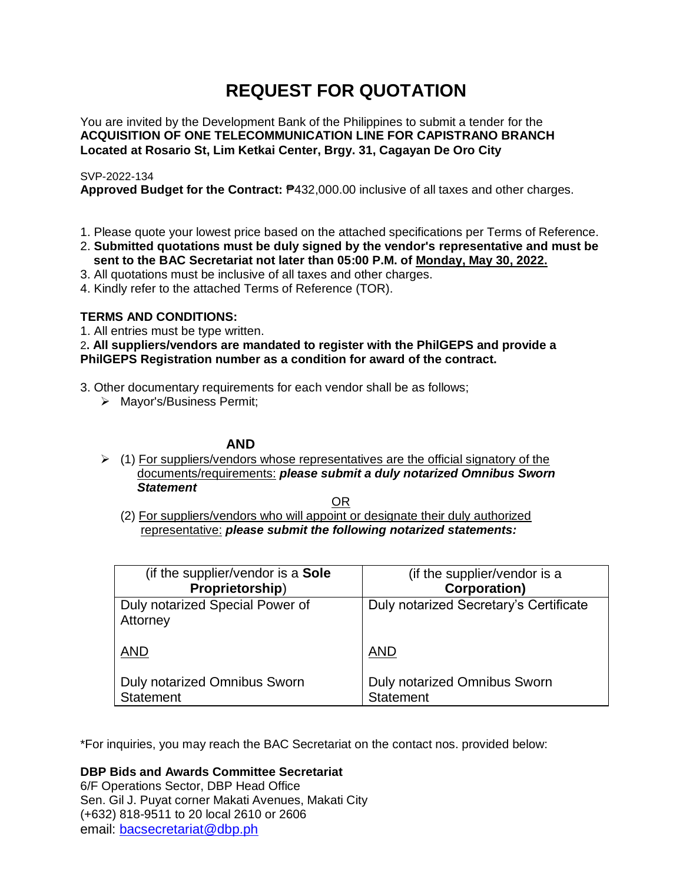# **REQUEST FOR QUOTATION**

You are invited by the Development Bank of the Philippines to submit a tender for the **ACQUISITION OF ONE TELECOMMUNICATION LINE FOR CAPISTRANO BRANCH Located at Rosario St, Lim Ketkai Center, Brgy. 31, Cagayan De Oro City**

# SVP-2022-134

**Approved Budget for the Contract:** ₱432,000.00 inclusive of all taxes and other charges.

- 1. Please quote your lowest price based on the attached specifications per Terms of Reference.
- 2. **Submitted quotations must be duly signed by the vendor's representative and must be sent to the BAC Secretariat not later than 05:00 P.M. of Monday, May 30, 2022.**
- 3. All quotations must be inclusive of all taxes and other charges.
- 4. Kindly refer to the attached Terms of Reference (TOR).

# **TERMS AND CONDITIONS:**

1. All entries must be type written.

2**. All suppliers/vendors are mandated to register with the PhilGEPS and provide a PhilGEPS Registration number as a condition for award of the contract.**

- 3. Other documentary requirements for each vendor shall be as follows;
	- > Mayor's/Business Permit;

# **AND**

 $\geq$  (1) For suppliers/vendors whose representatives are the official signatory of the documents/requirements: *please submit a duly notarized Omnibus Sworn Statement*

<u>OR Starting and the Starting OR Starting</u>

(2) For suppliers/vendors who will appoint or designate their duly authorized representative: *please submit the following notarized statements:*

| (if the supplier/vendor is a Sole                | (if the supplier/vendor is a                     |
|--------------------------------------------------|--------------------------------------------------|
| Proprietorship)                                  | <b>Corporation)</b>                              |
| Duly notarized Special Power of<br>Attorney      | Duly notarized Secretary's Certificate           |
| <b>AND</b>                                       | <b>AND</b>                                       |
| Duly notarized Omnibus Sworn<br><b>Statement</b> | Duly notarized Omnibus Sworn<br><b>Statement</b> |

\*For inquiries, you may reach the BAC Secretariat on the contact nos. provided below:

**DBP Bids and Awards Committee Secretariat** 

6/F Operations Sector, DBP Head Office Sen. Gil J. Puyat corner Makati Avenues, Makati City (+632) 818-9511 to 20 local 2610 or 2606 email: [bacsecretariat@dbp.ph](mailto:bacsecretariat@dbp.ph)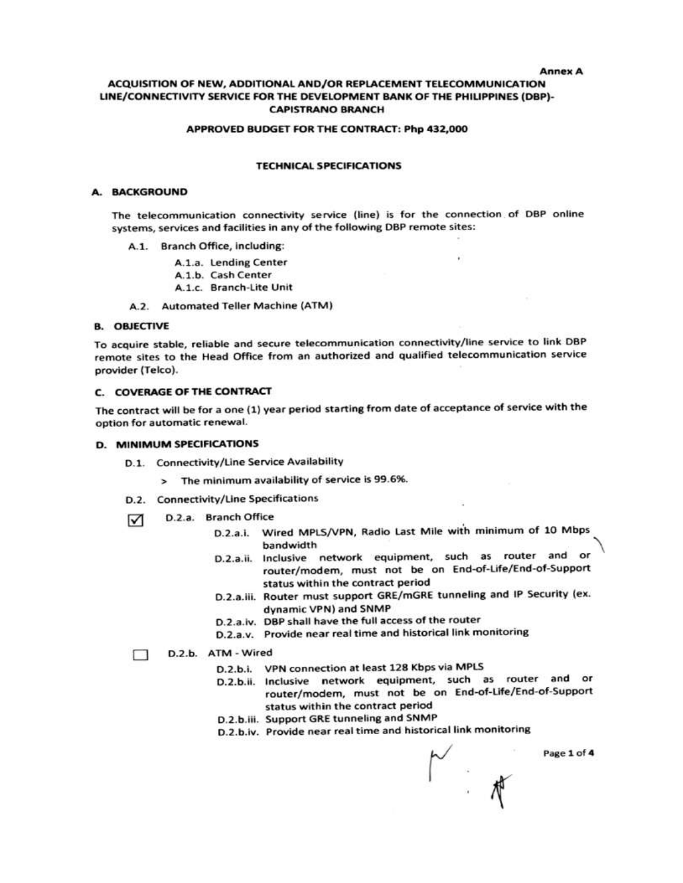#### **Annex A**

## ACQUISITION OF NEW, ADDITIONAL AND/OR REPLACEMENT TELECOMMUNICATION LINE/CONNECTIVITY SERVICE FOR THE DEVELOPMENT BANK OF THE PHILIPPINES (DBP)-**CAPISTRANO BRANCH**

#### APPROVED BUDGET FOR THE CONTRACT: Php 432,000

### **TECHNICAL SPECIFICATIONS**

#### A. BACKGROUND

The telecommunication connectivity service (line) is for the connection of DBP online systems, services and facilities in any of the following DBP remote sites:

- A.1. Branch Office, including:
	- A.1.a. Lending Center
	- A.1.b. Cash Center
	- A.1.c. Branch-Lite Unit
- A.2. Automated Teller Machine (ATM)

#### **B. OBJECTIVE**

To acquire stable, reliable and secure telecommunication connectivity/line service to link DBP remote sites to the Head Office from an authorized and qualified telecommunication service provider (Telco).

#### C. COVERAGE OF THE CONTRACT

The contract will be for a one (1) year period starting from date of acceptance of service with the option for automatic renewal.

#### D. MINIMUM SPECIFICATIONS

- D.1. Connectivity/Line Service Availability
	- > The minimum availability of service is 99.6%.
- D.2. Connectivity/Line Specifications
- D.2.a. Branch Office ☑
	- D.2.a.i. Wired MPLS/VPN, Radio Last Mile with minimum of 10 Mbps bandwidth
	- D.2.a.ii. Inclusive network equipment, such as router and or router/modem, must not be on End-of-Life/End-of-Support status within the contract period
	- D.2.a.iii. Router must support GRE/mGRE tunneling and IP Security (ex. dynamic VPN) and SNMP
	- D.2.a.iv. DBP shall have the full access of the router
	- D.2.a.v. Provide near real time and historical link monitoring

#### D.2.b. ATM - Wired п

- D.2.b.i. VPN connection at least 128 Kbps via MPLS
- D.2.b.ii. Inclusive network equipment, such as router and or router/modem, must not be on End-of-Life/End-of-Support status within the contract period

√<br>∴#

- D.2.b.iii. Support GRE tunneling and SNMP
- D.2.b.iv. Provide near real time and historical link monitoring

Page 1 of 4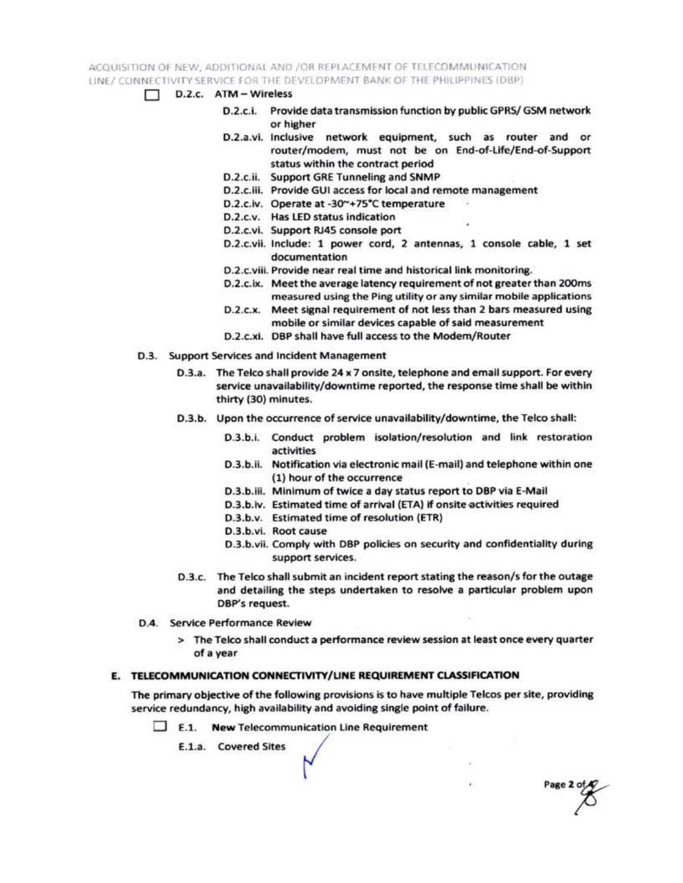ACQUISITION OF NEW, ADDITIONAL AND /OR REPLACEMENT OF TELECOMMUNICATION LINE / CONNECTIVITY SERVICE FOR THE DEVELOPMENT BANK OF THE PHILIPPINES (DBP)

- $\Box$  D.2.c. ATM Wireless
	- D.2.c.i. Provide data transmission function by public GPRS/ GSM network or higher
	- D.2.a.vi. Inclusive network equipment, such as router and or router/modem, must not be on End-of-Life/End-of-Support status within the contract period
	- D.2.c.ii. Support GRE Tunneling and SNMP
	- D.2.c.iii. Provide GUI access for local and remote management
	- D.2.c.iv. Operate at -30~+75°C temperature
	- D.2.c.v. Has LED status indication
	- D.2.c.vi. Support RJ45 console port
	- D.2.c.vii. Include: 1 power cord, 2 antennas, 1 console cable, 1 set documentation
	- D.2.c.viii. Provide near real time and historical link monitoring.
	- D.2.c.ix. Meet the average latency requirement of not greater than 200ms measured using the Ping utility or any similar mobile applications
	- D.2.c.x. Meet signal requirement of not less than 2 bars measured using mobile or similar devices capable of said measurement
	- D.2.c.xi. DBP shall have full access to the Modem/Router
- D.3. Support Services and Incident Management
	- D.3.a. The Telco shall provide 24 x 7 onsite, telephone and email support. For every service unavailability/downtime reported, the response time shall be within thirty (30) minutes.
	- D.3.b. Upon the occurrence of service unavailability/downtime, the Telco shall:
		- D.3.b.i. Conduct problem isolation/resolution and link restoration activities
		- D.3.b.ii. Notification via electronic mail (E-mail) and telephone within one (1) hour of the occurrence
		- D.3.b.iii. Minimum of twice a day status report to DBP via E-Mail
		- D.3.b.iv. Estimated time of arrival (ETA) if onsite activities required
		- D.3.b.v. Estimated time of resolution (ETR)
		- D.3.b.vi. Root cause
		- D.3.b.vii. Comply with DBP policies on security and confidentiality during support services.

Page 2 of

- D.3.c. The Telco shall submit an incident report stating the reason/s for the outage and detailing the steps undertaken to resolve a particular problem upon DBP's request.
- D.4. Service Performance Review
	- > The Telco shall conduct a performance review session at least once every quarter of a year

# E. TELECOMMUNICATION CONNECTIVITY/LINE REQUIREMENT CLASSIFICATION

The primary objective of the following provisions is to have multiple Telcos per site, providing service redundancy, high availability and avoiding single point of failure.

 $\Box$  E.1. New Telecommunication Line Requirement

E.1.a. Covered Sites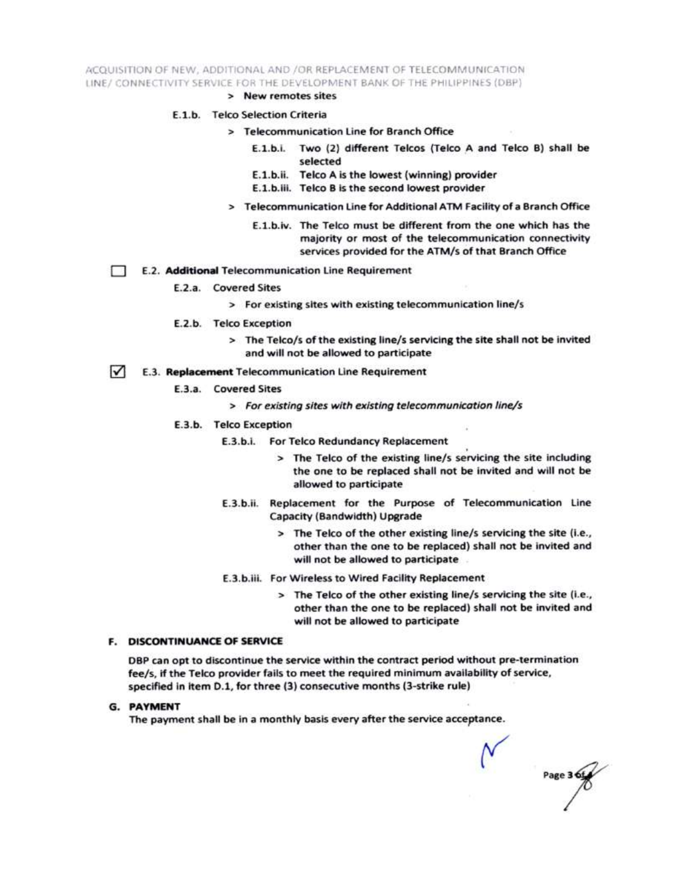ACQUISITION OF NEW, ADDITIONAL AND /OR REPLACEMENT OF TELECOMMUNICATION LINE/ CONNECTIVITY SERVICE FOR THE DEVELOPMENT BANK OF THE PHILIPPINES (DBP)

> New remotes sites

### E.1.b. Telco Selection Criteria

- > Telecommunication Line for Branch Office
	- E.1.b.i. Two (2) different Telcos (Telco A and Telco B) shall be selected
	- E.1.b.ii. Telco A is the lowest (winning) provider
	- E.1.b.iii. Telco B is the second lowest provider
- > Telecommunication Line for Additional ATM Facility of a Branch Office
	- E.1.b.iv. The Telco must be different from the one which has the majority or most of the telecommunication connectivity services provided for the ATM/s of that Branch Office
- E.2. Additional Telecommunication Line Requirement Ð
	- E.2.a. Covered Sites
		- > For existing sites with existing telecommunication line/s
	- E.2.b. Telco Exception
		- > The Telco/s of the existing line/s servicing the site shall not be invited and will not be allowed to participate
- $\sqrt{ }$ E.3. Replacement Telecommunication Line Requirement
	- E.3.a. Covered Sites
		- > For existing sites with existing telecommunication line/s
	- E.3.b. Telco Exception
		- E.3.b.i. For Telco Redundancy Replacement
			- > The Telco of the existing line/s servicing the site including the one to be replaced shall not be invited and will not be allowed to participate
		- E.3.b.ii. Replacement for the Purpose of Telecommunication Line Capacity (Bandwidth) Upgrade
			- > The Telco of the other existing line/s servicing the site (i.e., other than the one to be replaced) shall not be invited and will not be allowed to participate
		- E.3.b.iii. For Wireless to Wired Facility Replacement
			- > The Telco of the other existing line/s servicing the site (i.e., other than the one to be replaced) shall not be invited and will not be allowed to participate

#### **F. DISCONTINUANCE OF SERVICE**

DBP can opt to discontinue the service within the contract period without pre-termination fee/s, if the Telco provider fails to meet the required minimum availability of service, specified in item D.1, for three (3) consecutive months (3-strike rule)

**G. PAYMENT** 

The payment shall be in a monthly basis every after the service acceptance.

Page 3 6t